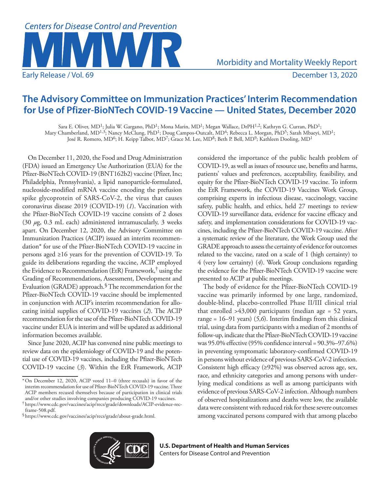

# **The Advisory Committee on Immunization Practices' Interim Recommendation for Use of Pfizer-BioNTech COVID-19 Vaccine — United States, December 2020**

Sara E. Oliver, MD<sup>1</sup>; Julia W. Gargano, PhD<sup>1</sup>; Mona Marin, MD<sup>1</sup>; Megan Wallace, DrPH<sup>1,2</sup>; Kathryn G. Curran, PhD<sup>1</sup>; Mary Chamberland, MD1,3; Nancy McClung, PhD1; Doug Campos-Outcalt, MD4; Rebecca L. Morgan, PhD5; Sarah Mbaeyi, MD1; José R. Romero, MD<sup>6</sup>; H. Keipp Talbot, MD<sup>7</sup>; Grace M. Lee, MD<sup>8</sup>; Beth P. Bell, MD<sup>9</sup>; Kathleen Dooling, MD<sup>1</sup>

On December 11, 2020, the Food and Drug Administration (FDA) issued an Emergency Use Authorization (EUA) for the Pfizer-BioNTech COVID-19 (BNT162b2) vaccine (Pfizer, Inc; Philadelphia, Pennsylvania), a lipid nanoparticle-formulated, nucleoside-modified mRNA vaccine encoding the prefusion spike glycoprotein of SARS-CoV-2, the virus that causes coronavirus disease 2019 (COVID-19) (*1*). Vaccination with the Pfizer-BioNTech COVID-19 vaccine consists of 2 doses (30 *µ*g, 0.3 mL each) administered intramuscularly, 3 weeks apart. On December 12, 2020, the Advisory Committee on Immunization Practices (ACIP) issued an interim recommendation\* for use of the Pfizer-BioNTech COVID-19 vaccine in persons aged ≥16 years for the prevention of COVID-19. To guide its deliberations regarding the vaccine, ACIP employed the Evidence to Recommendation (EtR) Framework,† using the Grading of Recommendations, Assessment, Development and Evaluation (GRADE) approach.<sup>§</sup> The recommendation for the Pfizer-BioNTech COVID-19 vaccine should be implemented in conjunction with ACIP's interim recommendation for allocating initial supplies of COVID-19 vaccines (*2*). The ACIP recommendation for the use of the Pfizer-BioNTech COVID-19 vaccine under EUA is interim and will be updated as additional information becomes available.

Since June 2020, ACIP has convened nine public meetings to review data on the epidemiology of COVID-19 and the potential use of COVID-19 vaccines, including the Pfizer-BioNTech COVID-19 vaccine (*3*). Within the EtR Framework, ACIP

 patients' values and preferences, acceptability, feasibility, and considered the importance of the public health problem of COVID-19, as well as issues of resource use, benefits and harms, equity for the Pfizer-BioNTech COVID-19 vaccine. To inform the EtR Framework, the COVID-19 Vaccines Work Group, comprising experts in infectious disease, vaccinology, vaccine safety, public health, and ethics, held 27 meetings to review COVID-19 surveillance data, evidence for vaccine efficacy and safety, and implementation considerations for COVID-19 vaccines, including the Pfizer-BioNTech COVID-19 vaccine. After a systematic review of the literature, the Work Group used the GRADE approach to assess the certainty of evidence for outcomes related to the vaccine, rated on a scale of 1 (high certainty) to 4 (very low certainty) (*4*). Work Group conclusions regarding the evidence for the Pfizer-BioNTech COVID-19 vaccine were presented to ACIP at public meetings.

The body of evidence for the Pfizer-BioNTech COVID-19 vaccine was primarily informed by one large, randomized, double-blind, placebo-controlled Phase II/III clinical trial that enrolled >43,000 participants (median age = 52 years, range = 16–91 years) (*5*,*6*). Interim findings from this clinical trial, using data from participants with a median of 2 months of follow-up, indicate that the Pfizer-BioNTech COVID-19 vaccine was 95.0% effective (95% confidence interval = 90.3%–97.6%) in preventing symptomatic laboratory-confirmed COVID-19 in persons without evidence of previous SARS-CoV-2 infection. Consistent high efficacy (≥92%) was observed across age, sex, race, and ethnicity categories and among persons with underlying medical conditions as well as among participants with evidence of previous SARS-CoV-2 infection. Although numbers of observed hospitalizations and deaths were low, the available data were consistent with reduced risk for these severe outcomes among vaccinated persons compared with that among placebo



<sup>\*</sup> On December 12, 2020, ACIP voted 11–0 (three recusals) in favor of the interim recommendation for use of Pfizer-BioNTech COVID-19 vaccine. Three ACIP members recused themselves because of participation in clinical trials and/or other studies involving companies producing COVID-19 vaccines.

<sup>†</sup> [https://www.cdc.gov/vaccines/acip/recs/grade/downloads/ACIP-evidence-rec](https://www.cdc.gov/vaccines/acip/recs/grade/downloads/ACIP-evidence-rec-frame-508.pdf)[frame-508.pdf.](https://www.cdc.gov/vaccines/acip/recs/grade/downloads/ACIP-evidence-rec-frame-508.pdf)§[https://www.cdc.gov/vaccines/acip/recs/grade/about-grade.html.](https://www.cdc.gov/vaccines/acip/recs/grade/about-grade.html)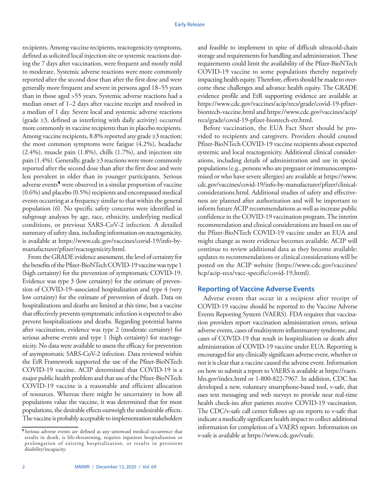conditions, or previous SARS-CoV-2 infection. A detailed recipients. Among vaccine recipients, reactogenicity symptoms, defined as solicited local injection site or systemic reactions during the 7 days after vaccination, were frequent and mostly mild to moderate. Systemic adverse reactions were more commonly reported after the second dose than after the first dose and were generally more frequent and severe in persons aged 18–55 years than in those aged >55 years. Systemic adverse reactions had a median onset of 1–2 days after vaccine receipt and resolved in a median of 1 day. Severe local and systemic adverse reactions (grade ≥3, defined as interfering with daily activity) occurred more commonly in vaccine recipients than in placebo recipients. Among vaccine recipients, 8.8% reported any grade ≥3 reaction; the most common symptoms were fatigue (4.2%), headache (2.4%), muscle pain (1.8%), chills (1.7%), and injection site pain (1.4%). Generally, grade ≥3 reactions were more commonly reported after the second dose than after the first dose and were less prevalent in older than in younger participants. Serious adverse events¶ were observed in a similar proportion of vaccine (0.6%) and placebo (0.5%) recipients and encompassed medical events occurring at a frequency similar to that within the general population (*6*). No specific safety concerns were identified in subgroup analyses by age, race, ethnicity, underlying medical summary of safety data, including information on reactogenicity, is available at [https://www.cdc.gov/vaccines/covid-19/info-by](https://www.cdc.gov/vaccines/covid-19/info-by-manufacturer/pfizer/reactogenicity.html)[manufacturer/pfizer/reactogenicity.html.](https://www.cdc.gov/vaccines/covid-19/info-by-manufacturer/pfizer/reactogenicity.html)

From the GRADE evidence assessment, the level of certainty for the benefits of the Pfizer-BioNTech COVID-19 vaccine was type 1 (high certainty) for the prevention of symptomatic COVID-19. Evidence was type 3 (low certainty) for the estimate of prevention of COVID-19–associated hospitalization and type 4 (very low certainty) for the estimate of prevention of death. Data on hospitalizations and deaths are limited at this time, but a vaccine that effectively prevents symptomatic infection is expected to also prevent hospitalizations and deaths. Regarding potential harms after vaccination, evidence was type 2 (moderate certainty) for serious adverse events and type 1 (high certainty) for reactogenicity. No data were available to assess the efficacy for prevention of asymptomatic SARS-CoV-2 infection. Data reviewed within the EtR Framework supported the use of the Pfizer-BioNTech COVID-19 vaccine. ACIP determined that COVID-19 is a major public health problem and that use of the Pfizer-BioNTech COVID-19 vaccine is a reasonable and efficient allocation of resources. Whereas there might be uncertainty in how all populations value the vaccine, it was determined that for most populations, the desirable effects outweigh the undesirable effects. The vaccine is probably acceptable to implementation stakeholders

and feasible to implement in spite of difficult ultracold-chain storage and requirements for handling and administration. These requirements could limit the availability of the Pfizer-BioNTech COVID-19 vaccine to some populations thereby negatively impacting health equity. Therefore, efforts should be made to overcome these challenges and advance health equity. The GRADE evidence profile and EtR supporting evidence are available at [https://www.cdc.gov/vaccines/acip/recs/grade/covid-19-pfizer](https://www.cdc.gov/vaccines/acip/recs/grade/covid-19-pfizer-biontech-vaccine.html)[biontech-vaccine.html](https://www.cdc.gov/vaccines/acip/recs/grade/covid-19-pfizer-biontech-vaccine.html) and [https://www.cdc.gov/vaccines/acip/](https://www.cdc.gov/vaccines/acip/recs/grade/covid-19-pfizer-biontech-etr.html)  [recs/grade/covid-19-pfizer-biontech-etr.html](https://www.cdc.gov/vaccines/acip/recs/grade/covid-19-pfizer-biontech-etr.html).

 the Pfizer-BioNTech COVID-19 vaccine under an EUA and Before vaccination, the EUA Fact Sheet should be provided to recipients and caregivers. Providers should counsel Pfizer-BioNTech COVID-19 vaccine recipients about expected systemic and local reactogenicity. Additional clinical considerations, including details of administration and use in special populations (e.g., persons who are pregnant or immunocompromised or who have severe allergies) are available at [https://www.](https://www.cdc.gov/vaccines/covid-19/info-by-manufacturer/pfizer/clinical-considerations.html)  [cdc.gov/vaccines/covid-19/info-by-manufacturer/pfizer/clinical](https://www.cdc.gov/vaccines/covid-19/info-by-manufacturer/pfizer/clinical-considerations.html)[considerations.html.](https://www.cdc.gov/vaccines/covid-19/info-by-manufacturer/pfizer/clinical-considerations.html) Additional studies of safety and effectiveness are planned after authorization and will be important to inform future ACIP recommendations as well as increase public confidence in the COVID-19 vaccination program. The interim recommendation and clinical considerations are based on use of might change as more evidence becomes available. ACIP will continue to review additional data as they become available; updates to recommendations or clinical considerations will be posted on the ACIP website [\(https://www.cdc.gov/vaccines/](https://www.cdc.gov/vaccines/hcp/acip-recs/vacc-specific/covid-19.html)  [hcp/acip-recs/vacc-specific/covid-19.html\)](https://www.cdc.gov/vaccines/hcp/acip-recs/vacc-specific/covid-19.html).

## **Reporting of Vaccine Adverse Events**

Adverse events that occur in a recipient after receipt of COVID-19 vaccine should be reported to the Vaccine Adverse Events Reporting System (VAERS). FDA requires that vaccination providers report vaccination administration errors, serious adverse events, cases of multisystem inflammatory syndrome, and cases of COVID-19 that result in hospitalization or death after administration of COVID-19 vaccine under EUA. Reporting is encouraged for any clinically significant adverse event, whether or not it is clear that a vaccine caused the adverse event. Information on how to submit a report to VAERS is available at [https://vaers.](https://vaers.hhs.gov/index.html)  [hhs.gov/index.html](https://vaers.hhs.gov/index.html) or 1-800-822-7967. In addition, CDC has developed a new, voluntary smartphone-based tool, v-safe, that uses text messaging and web surveys to provide near real-time health check-ins after patients receive COVID-19 vaccination. The CDC/v-safe call center follows up on reports to v-safe that indicate a medically significant health impact to collect additional information for completion of a VAERS report. Information on v-safe is available at <https://www.cdc.gov/vsafe>.

<sup>¶</sup> Serious adverse events are defined as any untoward medical occurrence that results in death, is life-threatening, requires inpatient hospitalization or prolongation of existing hospitalization, or results in persistent disability/incapacity.